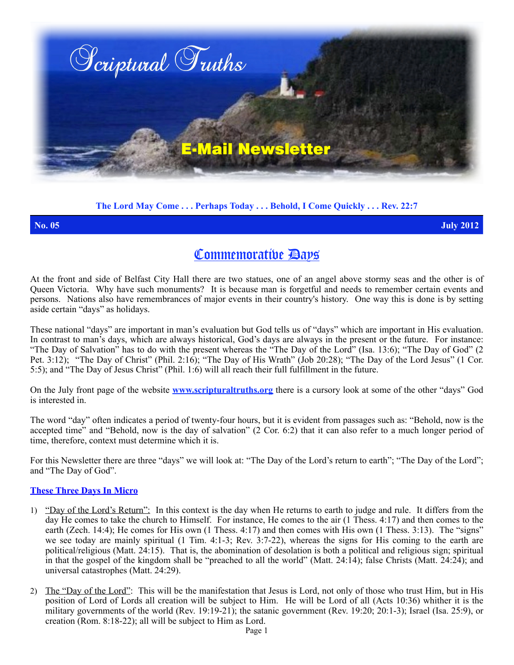

**The Lord May Come . . . Perhaps Today . . . Behold, I Come Quickly . . . Rev. 22:7**

**No. 05 July 2012**

# Commemorative Days

At the front and side of Belfast City Hall there are two statues, one of an angel above stormy seas and the other is of Queen Victoria. Why have such monuments? It is because man is forgetful and needs to remember certain events and persons. Nations also have remembrances of major events in their country's history. One way this is done is by setting aside certain "days" as holidays.

These national "days" are important in man's evaluation but God tells us of "days" which are important in His evaluation. In contrast to man's days, which are always historical, God's days are always in the present or the future. For instance: "The Day of Salvation" has to do with the present whereas the "The Day of the Lord" (Isa. 13:6); "The Day of God" (2 Pet. 3:12); "The Day of Christ" (Phil. 2:16); "The Day of His Wrath" (Job 20:28); "The Day of the Lord Jesus" (1 Cor. 5:5); and "The Day of Jesus Christ" (Phil. 1:6) will all reach their full fulfillment in the future.

On the July front page of the website **[www.scripturaltruths.org](http://www.scripturaltruths.org)** there is a cursory look at some of the other "days" God is interested in.

The word "day" often indicates a period of twenty-four hours, but it is evident from passages such as: "Behold, now is the accepted time" and "Behold, now is the day of salvation" (2 Cor. 6:2) that it can also refer to a much longer period of time, therefore, context must determine which it is.

For this Newsletter there are three "days" we will look at: "The Day of the Lord's return to earth"; "The Day of the Lord"; and "The Day of God".

## **These Three Days In Micro**

- 1) "Day of the Lord's Return": In this context is the day when He returns to earth to judge and rule. It differs from the day He comes to take the church to Himself. For instance, He comes to the air (1 Thess. 4:17) and then comes to the earth (Zech. 14:4); He comes for His own (1 Thess. 4:17) and then comes with His own (1 Thess. 3:13). The "signs" we see today are mainly spiritual (1 Tim. 4:1-3; Rev. 3:7-22), whereas the signs for His coming to the earth are political/religious (Matt. 24:15). That is, the abomination of desolation is both a political and religious sign; spiritual in that the gospel of the kingdom shall be "preached to all the world" (Matt. 24:14); false Christs (Matt. 24:24); and universal catastrophes (Matt. 24:29).
- 2) The "Day of the Lord": This will be the manifestation that Jesus is Lord, not only of those who trust Him, but in His position of Lord of Lords all creation will be subject to Him. He will be Lord of all (Acts 10:36) whither it is the military governments of the world (Rev. 19:19-21); the satanic government (Rev. 19:20; 20:1-3); Israel (Isa. 25:9), or creation (Rom. 8:18-22); all will be subject to Him as Lord.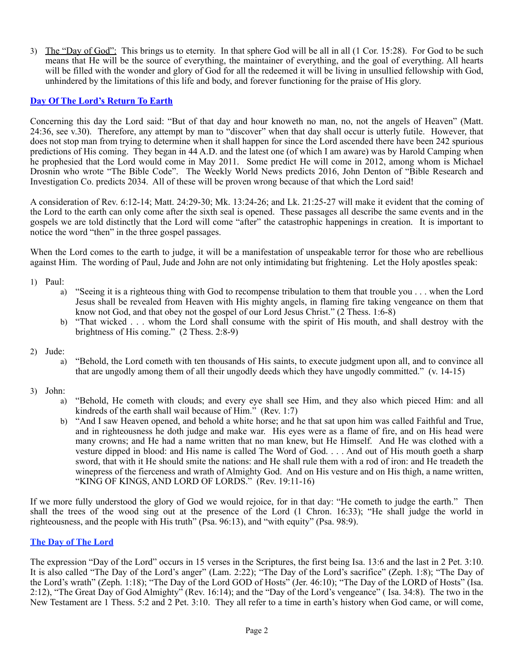3) The "Day of God": This brings us to eternity. In that sphere God will be all in all (1 Cor. 15:28). For God to be such means that He will be the source of everything, the maintainer of everything, and the goal of everything. All hearts will be filled with the wonder and glory of God for all the redeemed it will be living in unsullied fellowship with God. unhindered by the limitations of this life and body, and forever functioning for the praise of His glory.

# **Day Of The Lord's Return To Earth**

Concerning this day the Lord said: "But of that day and hour knoweth no man, no, not the angels of Heaven" (Matt. 24:36, see v.30). Therefore, any attempt by man to "discover" when that day shall occur is utterly futile. However, that does not stop man from trying to determine when it shall happen for since the Lord ascended there have been 242 spurious predictions of His coming. They began in 44 A.D. and the latest one (of which I am aware) was by Harold Camping when he prophesied that the Lord would come in May 2011. Some predict He will come in 2012, among whom is Michael Drosnin who wrote "The Bible Code". The Weekly World News predicts 2016, John Denton of "Bible Research and Investigation Co. predicts 2034. All of these will be proven wrong because of that which the Lord said!

A consideration of Rev. 6:12-14; Matt. 24:29-30; Mk. 13:24-26; and Lk. 21:25-27 will make it evident that the coming of the Lord to the earth can only come after the sixth seal is opened. These passages all describe the same events and in the gospels we are told distinctly that the Lord will come "after" the catastrophic happenings in creation. It is important to notice the word "then" in the three gospel passages.

When the Lord comes to the earth to judge, it will be a manifestation of unspeakable terror for those who are rebellious against Him. The wording of Paul, Jude and John are not only intimidating but frightening. Let the Holy apostles speak:

## 1) Paul:

- a) "Seeing it is a righteous thing with God to recompense tribulation to them that trouble you . . . when the Lord Jesus shall be revealed from Heaven with His mighty angels, in flaming fire taking vengeance on them that know not God, and that obey not the gospel of our Lord Jesus Christ." (2 Thess. 1:6-8)
- b) "That wicked . . . whom the Lord shall consume with the spirit of His mouth, and shall destroy with the brightness of His coming." (2 Thess. 2:8-9)

## 2) Jude:

a) "Behold, the Lord cometh with ten thousands of His saints, to execute judgment upon all, and to convince all that are ungodly among them of all their ungodly deeds which they have ungodly committed." (v. 14-15)

## 3) John:

- a) "Behold, He cometh with clouds; and every eye shall see Him, and they also which pieced Him: and all kindreds of the earth shall wail because of Him." (Rev. 1:7)
- b) "And I saw Heaven opened, and behold a white horse; and he that sat upon him was called Faithful and True, and in righteousness he doth judge and make war. His eyes were as a flame of fire, and on His head were many crowns; and He had a name written that no man knew, but He Himself. And He was clothed with a vesture dipped in blood: and His name is called The Word of God. . . . And out of His mouth goeth a sharp sword, that with it He should smite the nations: and He shall rule them with a rod of iron: and He treadeth the winepress of the fierceness and wrath of Almighty God. And on His vesture and on His thigh, a name written, "KING OF KINGS, AND LORD OF LORDS." (Rev. 19:11-16)

If we more fully understood the glory of God we would rejoice, for in that day: "He cometh to judge the earth." Then shall the trees of the wood sing out at the presence of the Lord (1 Chron. 16:33); "He shall judge the world in righteousness, and the people with His truth" (Psa. 96:13), and "with equity" (Psa. 98:9).

## **The Day of The Lord**

The expression "Day of the Lord" occurs in 15 verses in the Scriptures, the first being Isa. 13:6 and the last in 2 Pet. 3:10. It is also called "The Day of the Lord's anger" (Lam. 2:22); "The Day of the Lord's sacrifice" (Zeph. 1:8); "The Day of the Lord's wrath" (Zeph. 1:18); "The Day of the Lord GOD of Hosts" (Jer. 46:10); "The Day of the LORD of Hosts" (Isa. 2:12), "The Great Day of God Almighty" (Rev. 16:14); and the "Day of the Lord's vengeance" ( Isa. 34:8). The two in the New Testament are 1 Thess. 5:2 and 2 Pet. 3:10. They all refer to a time in earth's history when God came, or will come,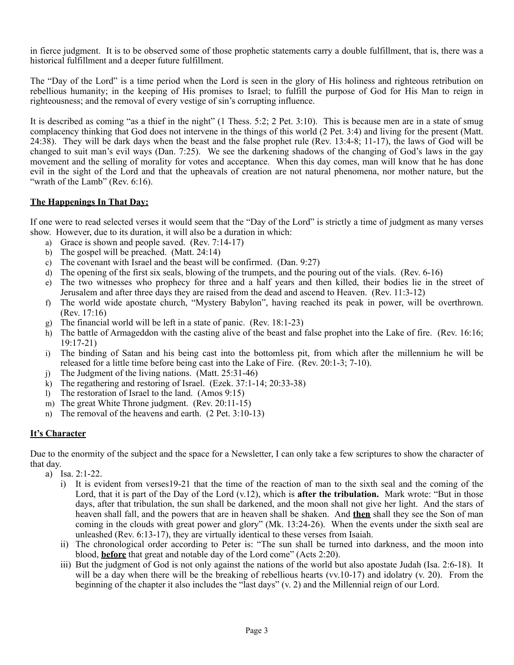in fierce judgment. It is to be observed some of those prophetic statements carry a double fulfillment, that is, there was a historical fulfillment and a deeper future fulfillment.

The "Day of the Lord" is a time period when the Lord is seen in the glory of His holiness and righteous retribution on rebellious humanity; in the keeping of His promises to Israel; to fulfill the purpose of God for His Man to reign in righteousness; and the removal of every vestige of sin's corrupting influence.

It is described as coming "as a thief in the night" (1 Thess. 5:2; 2 Pet. 3:10). This is because men are in a state of smug complacency thinking that God does not intervene in the things of this world (2 Pet. 3:4) and living for the present (Matt. 24:38). They will be dark days when the beast and the false prophet rule (Rev. 13:4-8; 11-17), the laws of God will be changed to suit man's evil ways (Dan. 7:25). We see the darkening shadows of the changing of God's laws in the gay movement and the selling of morality for votes and acceptance. When this day comes, man will know that he has done evil in the sight of the Lord and that the upheavals of creation are not natural phenomena, nor mother nature, but the "wrath of the Lamb" (Rev. 6:16).

# **The Happenings In That Day:**

If one were to read selected verses it would seem that the "Day of the Lord" is strictly a time of judgment as many verses show. However, due to its duration, it will also be a duration in which:

- a) Grace is shown and people saved. (Rev. 7:14-17)
- b) The gospel will be preached. (Matt. 24:14)
- c) The covenant with Israel and the beast will be confirmed. (Dan. 9:27)
- d) The opening of the first six seals, blowing of the trumpets, and the pouring out of the vials. (Rev. 6-16)
- e) The two witnesses who prophecy for three and a half years and then killed, their bodies lie in the street of Jerusalem and after three days they are raised from the dead and ascend to Heaven. (Rev. 11:3-12)
- f) The world wide apostate church, "Mystery Babylon", having reached its peak in power, will be overthrown. (Rev. 17:16)
- g) The financial world will be left in a state of panic. (Rev. 18:1-23)
- h) The battle of Armageddon with the casting alive of the beast and false prophet into the Lake of fire. (Rev. 16:16; 19:17-21)
- i) The binding of Satan and his being cast into the bottomless pit, from which after the millennium he will be released for a little time before being cast into the Lake of Fire. (Rev. 20:1-3; 7-10).
- j) The Judgment of the living nations. (Matt. 25:31-46)
- k) The regathering and restoring of Israel. (Ezek. 37:1-14; 20:33-38)
- l) The restoration of Israel to the land. (Amos 9:15)
- m) The great White Throne judgment. (Rev. 20:11-15)
- n) The removal of the heavens and earth. (2 Pet. 3:10-13)

# **It's Character**

Due to the enormity of the subject and the space for a Newsletter, I can only take a few scriptures to show the character of that day.

- a) Isa. 2:1-22.
	- i) It is evident from verses19-21 that the time of the reaction of man to the sixth seal and the coming of the Lord, that it is part of the Day of the Lord  $(v,12)$ , which is **after the tribulation.** Mark wrote: "But in those days, after that tribulation, the sun shall be darkened, and the moon shall not give her light. And the stars of heaven shall fall, and the powers that are in heaven shall be shaken. And **then** shall they see the Son of man coming in the clouds with great power and glory" (Mk. 13:24-26). When the events under the sixth seal are unleashed (Rev. 6:13-17), they are virtually identical to these verses from Isaiah.
	- ii) The chronological order according to Peter is: "The sun shall be turned into darkness, and the moon into blood, **before** that great and notable day of the Lord come" (Acts 2:20).
	- iii) But the judgment of God is not only against the nations of the world but also apostate Judah (Isa. 2:6-18). It will be a day when there will be the breaking of rebellious hearts (vv.10-17) and idolatry (v. 20). From the beginning of the chapter it also includes the "last days" (v. 2) and the Millennial reign of our Lord.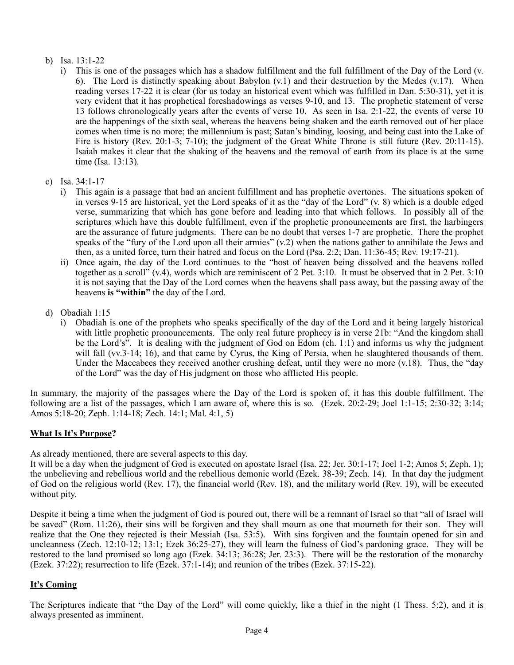# b) Isa. 13:1-22

i) This is one of the passages which has a shadow fulfillment and the full fulfillment of the Day of the Lord (v. 6). The Lord is distinctly speaking about Babylon (v.1) and their destruction by the Medes (v.17). When reading verses 17-22 it is clear (for us today an historical event which was fulfilled in Dan. 5:30-31), yet it is very evident that it has prophetical foreshadowings as verses 9-10, and 13. The prophetic statement of verse 13 follows chronologically years after the events of verse 10. As seen in Isa. 2:1-22, the events of verse 10 are the happenings of the sixth seal, whereas the heavens being shaken and the earth removed out of her place comes when time is no more; the millennium is past; Satan's binding, loosing, and being cast into the Lake of Fire is history (Rev. 20:1-3; 7-10); the judgment of the Great White Throne is still future (Rev. 20:11-15). Isaiah makes it clear that the shaking of the heavens and the removal of earth from its place is at the same time (Isa. 13:13).

# c) Isa. 34:1-17

- i) This again is a passage that had an ancient fulfillment and has prophetic overtones. The situations spoken of in verses 9-15 are historical, yet the Lord speaks of it as the "day of the Lord" (v. 8) which is a double edged verse, summarizing that which has gone before and leading into that which follows. In possibly all of the scriptures which have this double fulfillment, even if the prophetic pronouncements are first, the harbingers are the assurance of future judgments. There can be no doubt that verses 1-7 are prophetic. There the prophet speaks of the "fury of the Lord upon all their armies"  $(v, 2)$  when the nations gather to annihilate the Jews and then, as a united force, turn their hatred and focus on the Lord (Psa. 2:2; Dan. 11:36-45; Rev. 19:17-21).
- ii) Once again, the day of the Lord continues to the "host of heaven being dissolved and the heavens rolled together as a scroll"  $(v.4)$ , words which are reminiscent of 2 Pet. 3:10. It must be observed that in 2 Pet. 3:10 it is not saying that the Day of the Lord comes when the heavens shall pass away, but the passing away of the heavens **is "within"** the day of the Lord.
- d) Obadiah 1:15
	- i) Obadiah is one of the prophets who speaks specifically of the day of the Lord and it being largely historical with little prophetic pronouncements. The only real future prophecy is in verse 21b: "And the kingdom shall be the Lord's<sup>3</sup>. It is dealing with the judgment of God on Edom (ch. 1:1) and informs us why the judgment will fall (vv.3-14; 16), and that came by Cyrus, the King of Persia, when he slaughtered thousands of them. Under the Maccabees they received another crushing defeat, until they were no more  $(v.18)$ . Thus, the "day" of the Lord" was the day of His judgment on those who afflicted His people.

In summary, the majority of the passages where the Day of the Lord is spoken of, it has this double fulfillment. The following are a list of the passages, which I am aware of, where this is so. (Ezek. 20:2-29; Joel 1:1-15; 2:30-32; 3:14; Amos 5:18-20; Zeph. 1:14-18; Zech. 14:1; Mal. 4:1, 5)

# **What Is It's Purpose?**

As already mentioned, there are several aspects to this day.

It will be a day when the judgment of God is executed on apostate Israel (Isa. 22; Jer. 30:1-17; Joel 1-2; Amos 5; Zeph. 1); the unbelieving and rebellious world and the rebellious demonic world (Ezek. 38-39; Zech. 14). In that day the judgment of God on the religious world (Rev. 17), the financial world (Rev. 18), and the military world (Rev. 19), will be executed without pity.

Despite it being a time when the judgment of God is poured out, there will be a remnant of Israel so that "all of Israel will be saved" (Rom. 11:26), their sins will be forgiven and they shall mourn as one that mourneth for their son. They will realize that the One they rejected is their Messiah (Isa. 53:5). With sins forgiven and the fountain opened for sin and uncleanness (Zech. 12:10-12; 13:1; Ezek 36:25-27), they will learn the fulness of God's pardoning grace. They will be restored to the land promised so long ago (Ezek. 34:13; 36:28; Jer. 23:3). There will be the restoration of the monarchy (Ezek. 37:22); resurrection to life (Ezek. 37:1-14); and reunion of the tribes (Ezek. 37:15-22).

# **It's Coming**

The Scriptures indicate that "the Day of the Lord" will come quickly, like a thief in the night (1 Thess. 5:2), and it is always presented as imminent.